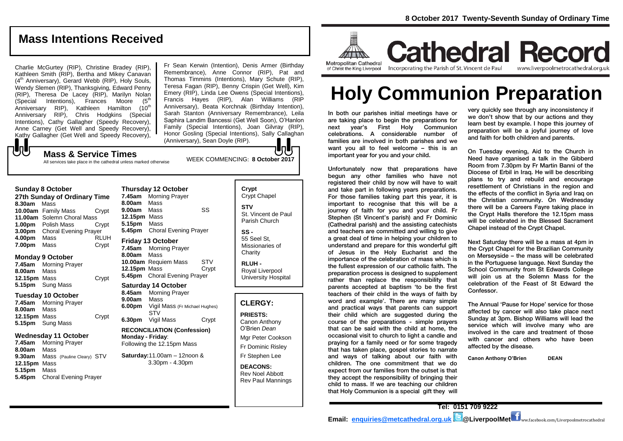# **Mass Intentions Received**

Charlie McGurtey (RIP), Christine Bradey (RIP), Kathleen Smith (RIP), Bertha and Mikey Canavan  $(4<sup>th</sup>$  Anniversary), Gerard Webb (RIP), Holy Souls, Wendy Slemen (RIP), Thanksgiving, Edward Penny (RIP), Theresa De Lacey (RIP), Marilyn Nolan  $(Special$  Intentions), Frances Moore  $(5<sup>th</sup>)$ Anniversary RIP), Kathleen Hamilton (10<sup>th</sup> Anniversary RIP), Chris Hodgkins (Special Intentions), Cathy Gallagher (Speedy Recovery), Anne Carney (Get Well and Speedy Recovery), Kathy Gallagher (Get Well and Speedy Recovery),

Fr Sean Kerwin (Intention), Denis Armer (Birthday Remembrance), Anne Connor (RIP), Pat and Thomas Timmins (Intentions), Mary Schute (RIP), Teresa Fagan (RIP), Benny Crispin (Get Well), Kim Emery (RIP), Linda Lee Owens (Special Intentions), Francis Hayes (RIP), Alan Williams (RIP Anniversary), Beata Korchnak (Birthday Intention), Sarah Stanton (Anniversary Remembrance), Leila Saphira Landim Bancessi (Get Well Soon), O'Hanlon Family (Special Intentions), Joan Gilvray (RIP), Honor Gosling (Special Intentions), Sally Callaghan (Anniversary), Sean Doyle (RIP).

# ${\bf J}$ WEEK COMMENCING: **8 October 2017 Mass & Service Times**

**Sunday 8 October** 

All services take place in the cathedral unless marked otherwise

#### **Thursday 12 October**

**27th Sunday of Ordinary Time 8.30am** Mass **10.00am** Family Mass Crypt **11.00am** Solemn Choral Mass **1.00pm** Polish Mass Crypt **3.00pm** Choral Evening Prayer **4.00pm** Mass RLUH **7.00pm** Mass Crypt

#### **Monday 9 October**

**7.45am** Morning Prayer **8.00am** Mass **12.15pm** Mass Crypt **5.15pm** Sung Mass

#### **Tuesday 10 October**

**7.45am** Morning Prayer **8.00am** Mass **12.15pm** Mass Crypt **5.15pm** Sung Mass

#### **Wednesday 11 October**

**7.45am** Morning Prayer **8.00am** Mass **9.30am** Mass(Pauline Cleary) STV **12.15pm** Mass **5.15pm** Mass **5.45pm** Choral Evening Prayer

**7.45am** Morning Prayer **8.00am** Mass **9.00am** Mass SS **12.15pm** Mass **5.15pm** Mass **5.45pm** Choral Evening Prayer **Friday 13 October** 

#### **7.45am** Morning Prayer

**8.00am** Mass **10.00am** Requiem Mass STV **12.15pm** Mass Crypt **5.45pm** Choral Evening Prayer

#### **Saturday 14 October**

**8.45am** Morning Prayer **9.00am** Mass **6.00pm** Vigil Mass (Fr Michael Hughes) STV **6.30pm** Vigil Mass Crypt

#### **RECONCILIATION (Confession) Monday - Friday**: Following the 12.15pm Mass

**Saturday:**11.00am – 12noon & 3.30pm - 4.30pm

**Crypt**  Crypt Chapel **STV** St. Vincent de Paul Parish Church **SS -**

> 55 Seel St, Missionaries of **Charity**

**RLUH -** Royal Liverpool University Hospital

#### **CLERGY:**

**PRIESTS:** Canon Anthony O'Brien *Dean* Mgr Peter Cookson Fr Dominic Risley

Fr Stephen Lee

#### **DEACONS:** Rev Noel Abbott Rev Paul Mannings



**Cathedral Record** Incorporating the Parish of St. Vincent de Paul www.liverpoolmetrocathedral.org.uk

# **Holy Communion Preparation**

In both our parishes initial meetings have or are taking place to begin the preparations for next year's First Holy Communion celebrations. A considerable number of families are involved in both parishes and we want you all to feel welcome – this is an important year for you and your child.

Unfortunately now that preparations have begun any other families who have not registered their child by now will have to wait and take part in following years preparations. For those families taking part this year, it is important to recognise that this will be a journey of faith for you and your child. Fr Stephen (St Vincent's parish) and Fr Dominic (Cathedral parish) and the assisting catechists and teachers are committed and willing to give a great deal of time in helping your children to understand and prepare for this wonderful gift of Jesus in the Holy Eucharist and the importance of the celebration of mass which is the fullest expression of our catholic faith. The preparation process is designed to supplement rather than replace the responsibility that parents accepted at baptism 'to be the first teachers of their child in the ways of faith by word and example'. There are many simple and practical ways that parents can support their child which are suggested during the course of the preparations - simple prayers that can be said with the child at home, the occasional visit to church to light a candle and praying for a family need or for some tragedy that has taken place, gospel stories to narrate and ways of talking about our faith with children. The one commitment that we do expect from our families from the outset is that they accept the responsibility of bringing their child to mass. If we are teaching our children that Holy Communion is a special gift they will

very quickly see through any inconsistency if we don't show that by our actions and they learn best by example. I hope this journey of preparation will be a joyful journey of love and faith for both children and parents.

On Tuesday evening, Aid to the Church in Need have organised a talk in the Gibberd Room from 7.30pm by Fr Martin Banni of the Diocese of Erbil in Iraq. He will be describing plans to try and rebuild and encourage resettlement of Christians in the region and the effects of the conflict in Syria and Iraq on the Christian community. On Wednesday there will be a Careers Fayre taking place in the Crypt Halls therefore the 12.15pm mass will be celebrated in the Blessed Sacrament Chapel instead of the Crypt Chapel.

Next Saturday there will be a mass at 4pm in the Crypt Chapel for the Brazilian Community on Merseyside – the mass will be celebrated in the Portuguese language. Next Sunday the School Community from St Edwards College will join us at the Solemn Mass for the celebration of the Feast of St Edward the Confessor.

The Annual 'Pause for Hope' service for those affected by cancer will also take place next Sunday at 3pm. Bishop Williams will lead the service which will involve many who are involved in the care and treatment of those with cancer and others who have been affected by the disease.

**Canon Anthony O'Brien DEAN**